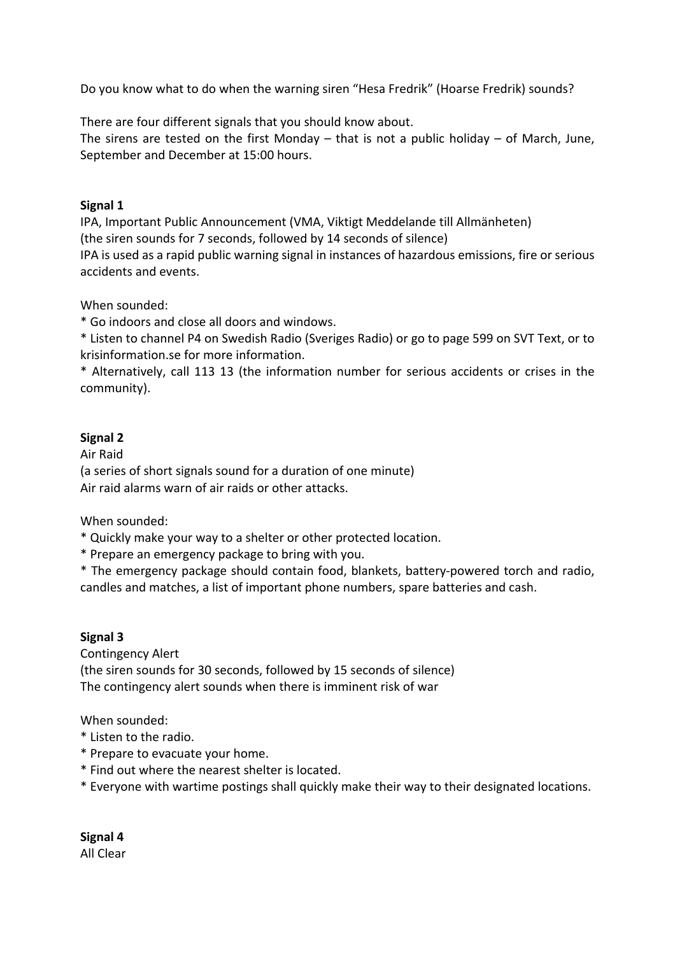Do you know what to do when the warning siren "Hesa Fredrik" (Hoarse Fredrik) sounds?

There are four different signals that you should know about.

The sirens are tested on the first Monday – that is not a public holiday – of March, June, September and December at 15:00 hours.

## **Signal 1**

IPA, Important Public Announcement (VMA, Viktigt Meddelande till Allmänheten) (the siren sounds for 7 seconds, followed by 14 seconds of silence) IPA is used as a rapid public warning signal in instances of hazardous emissions, fire or serious accidents and events.

When sounded:

\* Go indoors and close all doors and windows.

\* Listen to channel P4 on Swedish Radio (Sveriges Radio) or go to page 599 on SVT Text, or to krisinformation.se for more information.

\* Alternatively, call 113 13 (the information number for serious accidents or crises in the community).

## **Signal 2**

Air Raid (a series of short signals sound for a duration of one minute) Air raid alarms warn of air raids or other attacks.

When sounded:

- \* Quickly make your way to a shelter or other protected location.
- \* Prepare an emergency package to bring with you.

\* The emergency package should contain food, blankets, battery-powered torch and radio, candles and matches, a list of important phone numbers, spare batteries and cash.

## **Signal 3**

Contingency Alert (the siren sounds for 30 seconds, followed by 15 seconds of silence) The contingency alert sounds when there is imminent risk of war

When sounded:

- \* Listen to the radio.
- \* Prepare to evacuate your home.
- \* Find out where the nearest shelter is located.
- \* Everyone with wartime postings shall quickly make their way to their designated locations.

**Signal 4** All Clear